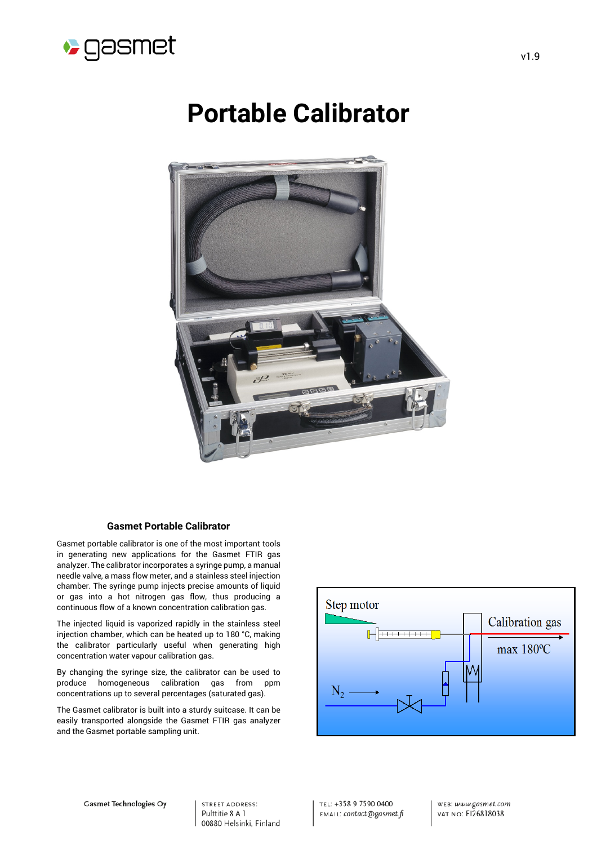

# **Portable Calibrator**



### **Gasmet Portable Calibrator**

Gasmet portable calibrator is one of the most important tools in generating new applications for the Gasmet FTIR gas analyzer. The calibrator incorporates a syringe pump, a manual needle valve, a mass flow meter, and a stainless steel injection chamber. The syringe pump injects precise amounts of liquid or gas into a hot nitrogen gas flow, thus producing a continuous flow of a known concentration calibration gas.

The injected liquid is vaporized rapidly in the stainless steel injection chamber, which can be heated up to 180 °C, making the calibrator particularly useful when generating high concentration water vapour calibration gas.

By changing the syringe size, the calibrator can be used to produce homogeneous calibration gas from ppm concentrations up to several percentages (saturated gas).

The Gasmet calibrator is built into a sturdy suitcase. It can be easily transported alongside the Gasmet FTIR gas analyzer and the Gasmet portable sampling unit.



**STREET ADDRESS:** Pulttitie 8 A 1 00880 Helsinki, Finland TEL: +358 9 7590 0400 EMAIL: contact@gasmet.fi WEB: www.gasmet.com **VAT NO: F126818038**